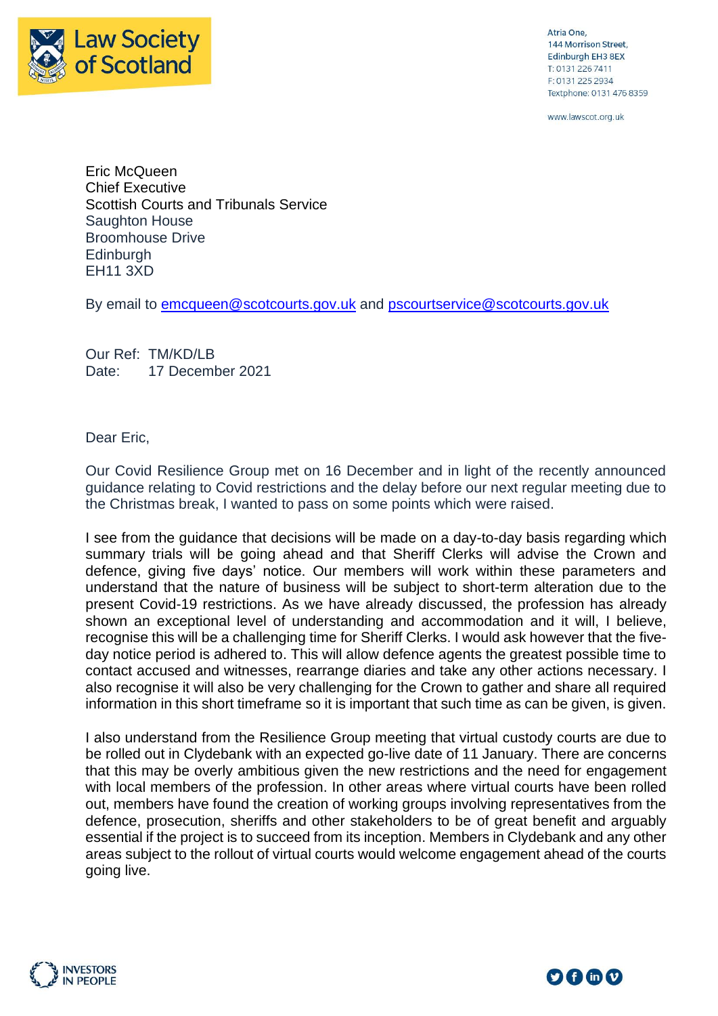

Atria One, 144 Morrison Street, Edinburgh EH3 8EX T: 0131 226 7411 F: 0131 225 2934 Textphone: 0131 476 8359

www.lawscot.org.uk

Eric McQueen Chief Executive Scottish Courts and Tribunals Service Saughton House Broomhouse Drive **Edinburgh** EH11 3XD

By email to [emcqueen@scotcourts.gov.uk](mailto:emcqueen@scotcourts.gov.uk) and [pscourtservice@scotcourts.gov.uk](mailto:pscourtservice@scotcourts.gov.uk)

Our Ref: TM/KD/LB Date: 17 December 2021

Dear Eric,

Our Covid Resilience Group met on 16 December and in light of the recently announced guidance relating to Covid restrictions and the delay before our next regular meeting due to the Christmas break, I wanted to pass on some points which were raised.

I see from the guidance that decisions will be made on a day-to-day basis regarding which summary trials will be going ahead and that Sheriff Clerks will advise the Crown and defence, giving five days' notice. Our members will work within these parameters and understand that the nature of business will be subject to short-term alteration due to the present Covid-19 restrictions. As we have already discussed, the profession has already shown an exceptional level of understanding and accommodation and it will, I believe, recognise this will be a challenging time for Sheriff Clerks. I would ask however that the fiveday notice period is adhered to. This will allow defence agents the greatest possible time to contact accused and witnesses, rearrange diaries and take any other actions necessary. I also recognise it will also be very challenging for the Crown to gather and share all required information in this short timeframe so it is important that such time as can be given, is given.

I also understand from the Resilience Group meeting that virtual custody courts are due to be rolled out in Clydebank with an expected go-live date of 11 January. There are concerns that this may be overly ambitious given the new restrictions and the need for engagement with local members of the profession. In other areas where virtual courts have been rolled out, members have found the creation of working groups involving representatives from the defence, prosecution, sheriffs and other stakeholders to be of great benefit and arguably essential if the project is to succeed from its inception. Members in Clydebank and any other areas subject to the rollout of virtual courts would welcome engagement ahead of the courts going live.